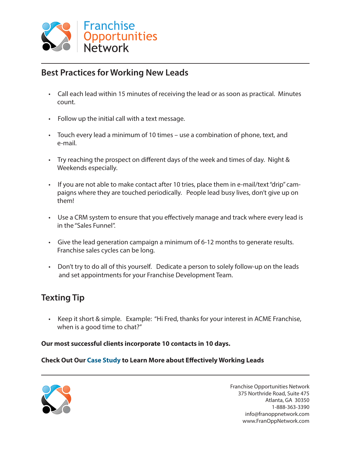

# **Best Practices for Working New Leads**

- Call each lead within 15 minutes of receiving the lead or as soon as practical. Minutes count.
- Follow up the initial call with a text message.
- Touch every lead a minimum of 10 times use a combination of phone, text, and e-mail.
- Try reaching the prospect on different days of the week and times of day. Night & Weekends especially.
- If you are not able to make contact after 10 tries, place them in e-mail/text "drip" cam paigns where they are touched periodically. People lead busy lives, don't give up on them!
- Use a CRM system to ensure that you effectively manage and track where every lead is in the "Sales Funnel".
- Give the lead generation campaign a minimum of 6-12 months to generate results. Franchise sales cycles can be long.
- Don't try to do all of this yourself. Dedicate a person to solely follow-up on the leads and set appointments for your Franchise Development Team.

### **Texting Tip**

 • Keep it short & simple. Example: "Hi Fred, thanks for your interest in ACME Franchise, when is a good time to chat?"

#### **Our most successful clients incorporate 10 contacts in 10 days.**

#### **Check Out Our Case Study to Learn More about Effectively Working Leads**



Franchise Opportunities Network 375 Northride Road, Suite 475 Atlanta, GA 30350 1-888-363-3390 info@franoppnetwork.com www.FranOppNetwork.com